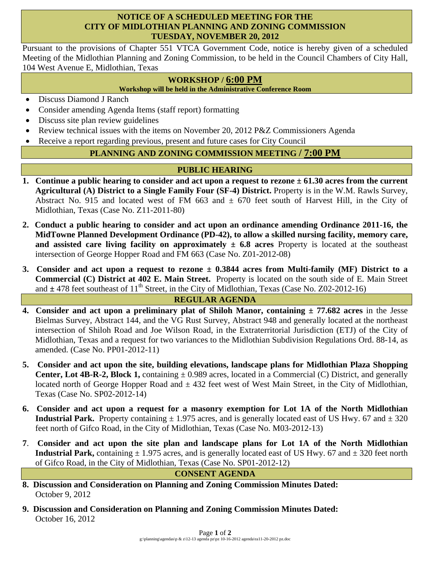### **NOTICE OF A SCHEDULED MEETING FOR THE CITY OF MIDLOTHIAN PLANNING AND ZONING COMMISSION TUESDAY, NOVEMBER 20, 2012**

Pursuant to the provisions of Chapter 551 VTCA Government Code, notice is hereby given of a scheduled Meeting of the Midlothian Planning and Zoning Commission, to be held in the Council Chambers of City Hall, 104 West Avenue E, Midlothian, Texas

## **WORKSHOP / 6:00 PM**

**Workshop will be held in the Administrative Conference Room** 

- Discuss Diamond J Ranch
- Consider amending Agenda Items (staff report) formatting
- Discuss site plan review guidelines
- Review technical issues with the items on November 20, 2012 P&Z Commissioners Agenda
- Receive a report regarding previous, present and future cases for City Council

## **PLANNING AND ZONING COMMISSION MEETING / 7:00 PM**

## **PUBLIC HEARING**

- **1. Continue a public hearing to consider and act upon a request to rezone ± 61.30 acres from the current Agricultural (A) District to a Single Family Four (SF-4) District.** Property is in the W.M. Rawls Survey, Abstract No. 915 and located west of FM 663 and  $\pm$  670 feet south of Harvest Hill, in the City of Midlothian, Texas (Case No. Z11-2011-80)
- **2. Conduct a public hearing to consider and act upon an ordinance amending Ordinance 2011-16, the MidTowne Planned Development Ordinance (PD-42), to allow a skilled nursing facility, memory care, and assisted care living facility on approximately ± 6.8 acres** Property is located at the southeast intersection of George Hopper Road and FM 663 (Case No. Z01-2012-08)
- **3. Consider and act upon a request to rezone ± 0.3844 acres from Multi-family (MF) District to a Commercial (C) District at 402 E. Main Street.** Property is located on the south side of E. Main Street and  $\pm$  478 feet southeast of 11<sup>th</sup> Street, in the City of Midlothian, Texas (Case No. Z02-2012-16)

# **REGULAR AGENDA**

- **4. Consider and act upon a preliminary plat of Shiloh Manor, containing**  $\pm$  **77.682 acres in the Jesse** Bielmas Survey, Abstract 144, and the VG Rust Survey, Abstract 948 and generally located at the northeast intersection of Shiloh Road and Joe Wilson Road, in the Extraterritorial Jurisdiction (ETJ) of the City of Midlothian, Texas and a request for two variances to the Midlothian Subdivision Regulations Ord. 88-14, as amended. (Case No. PP01-2012-11)
- **5. Consider and act upon the site, building elevations, landscape plans for Midlothian Plaza Shopping Center, Lot 4B-R-2, Block 1,** containing  $\pm$  0.989 acres, located in a Commercial (C) District, and generally located north of George Hopper Road and  $\pm$  432 feet west of West Main Street, in the City of Midlothian, Texas (Case No. SP02-2012-14)
- **6. Consider and act upon a request for a masonry exemption for Lot 1A of the North Midlothian Industrial Park.** Property containing  $\pm$  1.975 acres, and is generally located east of US Hwy. 67 and  $\pm$  320 feet north of Gifco Road, in the City of Midlothian, Texas (Case No. M03-2012-13)
- **7**. **Consider and act upon the site plan and landscape plans for Lot 1A of the North Midlothian Industrial Park,** containing  $\pm$  1.975 acres, and is generally located east of US Hwy. 67 and  $\pm$  320 feet north of Gifco Road, in the City of Midlothian, Texas (Case No. SP01-2012-12)

### **CONSENT AGENDA**

- **8. Discussion and Consideration on Planning and Zoning Commission Minutes Dated:**  October 9, 2012
- **9. Discussion and Consideration on Planning and Zoning Commission Minutes Dated:**  October 16, 2012